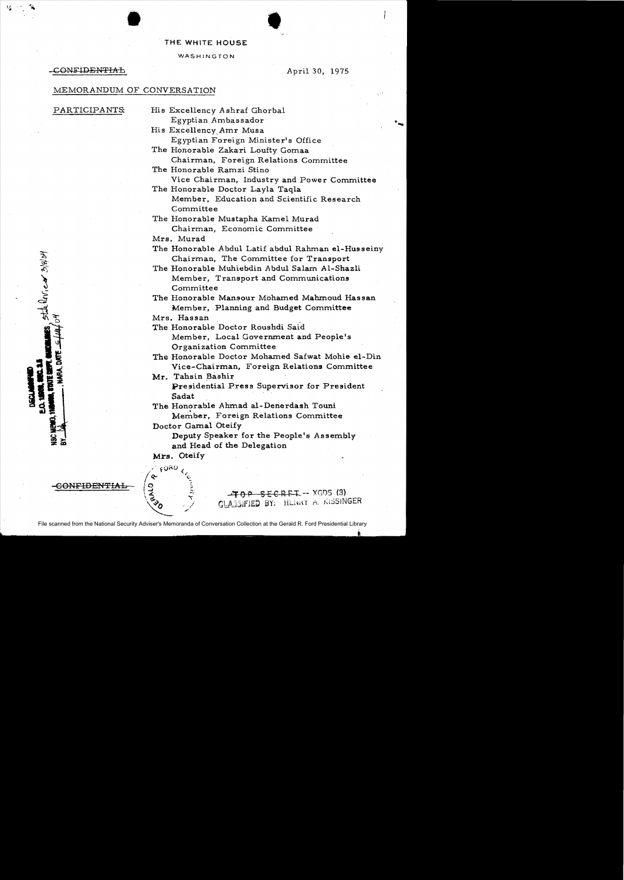# THE WHITE HOUSE

## WASHINGTON

# **CONFIDENTIAL** April 30, 1975

# MEMORANDUM OF CONVERSATION

•

state leview 3/8/04

- PARTICIPANTS: His Excellency Ashraf Ghorbal Egyptian Ambassador
	- His Excellency.Amr Musa Egyptian Foreign Minister's Office
	- The Honorable Zakari Loufty Gomaa Chairman, Foreign Relations Committee
	- The Honorable Ramzi Stino Vice Chairman, Industry and Power Committee
	- The Honorable Doctor Layla Taqla Member, Education and Scientific Research Committee
	- The Honorable Mustapha Kamel Murad Chairman, Economic Committee
	- Mrs. Murad

The Honorable Abdul Latif abdul Rahman el-Husseiny Chairman, The Committee for Transport

The Honorable Muhiebdin Abdul Salam Al-Shazli Member, Transport and Communications Committee

The Honorable Mansour Mohamed Mahmoud Hassan Member, Planning and Budget Committee

Mrs. Hassan

The Honorable Doctor Roushdi Said Member, Local Government and People's Organization Committee

The Honorable Doctor Mohamed Safwat Mohie el-Din Vice-Chairman, Foreign Relations Committee

Mr. Tahsin Bashir Presidential Press Supervisor for President Sadat

The Honorable Ahmad al-Denerdash Touni Member, Foreign Relations Committee

Doctor Gamal Oteify

Deputy Speaker for the People's Assembly and Head of the Delegation

Mrs. Oteify

 $\mathfrak{c}$   $\mathfrak{so}$   $\omega$ 



.J :. . :;, 40 P SEC Rt: 1:.-- XGl)S (3) \~) ClAj:JIfllltO *BY;* HU'irCf A. J(ISSINGER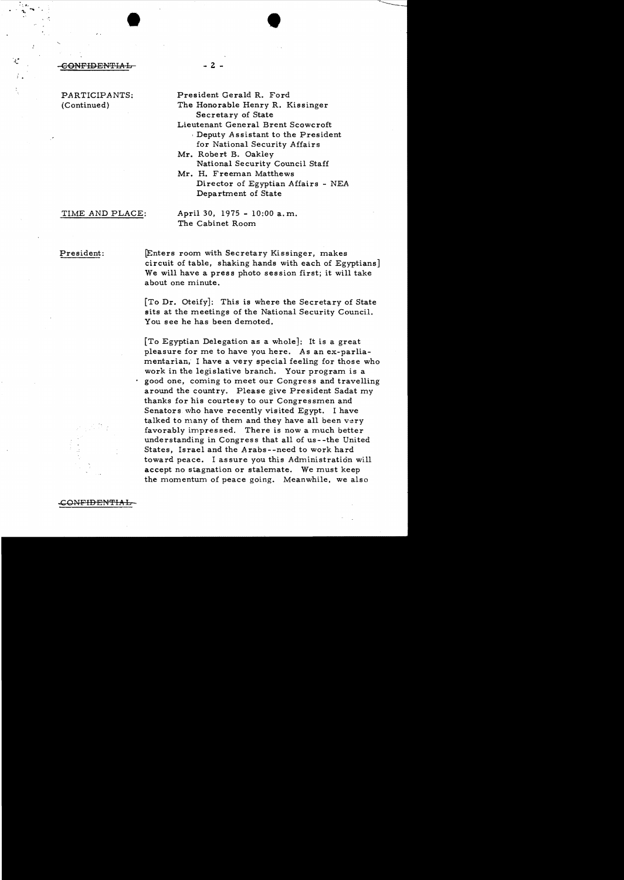$\begin{array}{ccc} \begin{array}{ccc} \text{...} & \text{...} & \text{...} \end{array} \end{array}$ 

PARTICIPANTS: President Gerald R. Ford

- (Continued) The Honorable Henry R. Kissinger Secretary of State
	- Lieutenant General Brent Scowcroft , Deputy Assistant to the President for National Security Affairs
	- Mr. Robert B. Oakley National Security Council Staff
	- Mr. H. Freeman Matthews Director of Egyptian Affairs - NEA Department of State

TIME AND PLACE: April 30, 1975 - 10:00 a. m. The Cabinet Room

President: **Enters room with Secretary Kissinger**, makes circuit of table, shaking hands with each of Egyptians] We will have a press photo session first; it will take about one minute.

> [To Dr. Oteify]: This is where the Secretary of State sits at the meetings of the National Security Council. You see he has been demoted.

[To Egyptian Delegation as a whole]: It is a great pleasure for me to have you here. As an ex-parliamentarian, I have a very special feeling for those who work in the legislative branch. Your program is a good one, coming to meet our Congress and travelling around the country. Please give President Sadat my thanks for his courtesy to our Congressmen and Senators who have recently visited Egypt. I have talked to many of them and they have all been very favorably impres sed. There is now a much better understanding in Congress that all of us--the United States, Israel and the Arabs--need to work hard toward peace. I assure you this Administration will accept no stagnation or stalemate. We must keep the momentum of peace going. Meanwhile, we also



.ON<del>FID ENTIA L</del>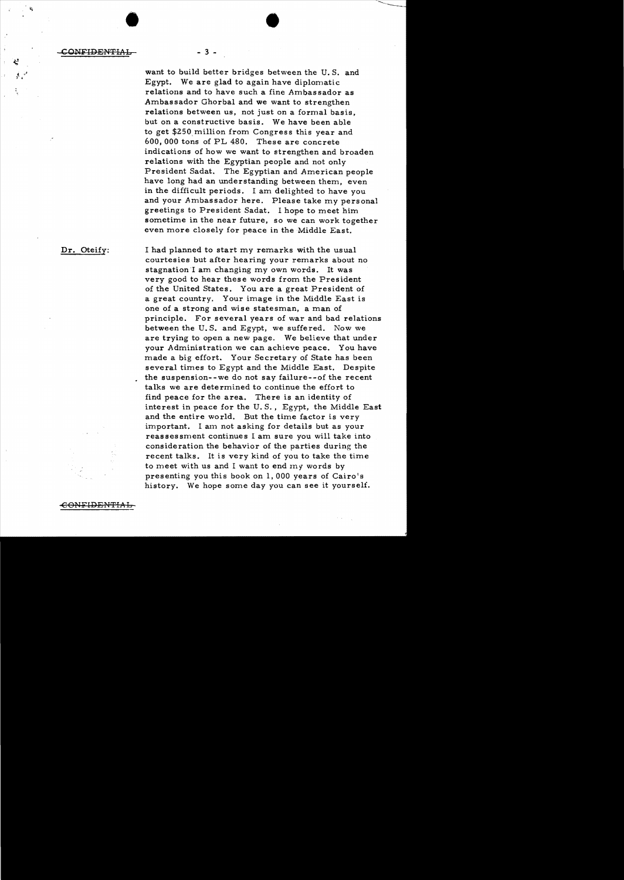$\bullet$ CONFIDENTIAL - 3 -

> want to build better bridges between the U.S. and Egypt. We are glad to again have diplomatic relations and to have such a fine Ambassador as Ambassador Ghorbal and we want to strengthen relations between us, not just on a formal basis. but on a constructive basis. We have been able to get \$ZSO.million from Congress this year and 600, 000 tons of PL 480. These are concrete indications of how we want to strengthen and broaden relations with the Egyptian people and not only President Sadat. The Egyptian and American people have long had an understanding between them, even in the difficult periods. I am delighted to have you and your Ambassador here. Please take my personal greetings to President Sadat. I hope to meet him sometime in the near future, so we can work together even more closely for peace in the Middle East.

Dr. Oteify: I had planned to start my remarks with the usual courtesies but after hearing your remarks about no stagnation I am changing my own words. It was very good to hear these words from the President of the United States. You are a great President of a great country. Your image in the Middle East is one of a strong and wise statesman, a man of principle. For several years of war and bad relations between the U. S. and Egypt, we suffered. Now we are trying to open a new page. We believe that under your Administration we can achieve peace. You have made a big effort. Your Secretary of State has been several times to Egypt and the Middle East. Despite the suspension--we do not say failure--of the recent talks we are determined to continue the effort to find peace for the area. There is an identity of interest in peace for the U. S., Egypt, the Middle East and the entire world. But the time factor is very important. I am not asking for details but as your reassessment continues I am sure you will take into consideration the behavior of the parties during the recent talks. It is very kind of you to take the time to meet with us and I want to end my words by presenting you this book on 1,000 years of Cairo's history. We hope some day you can see it yourself.

-€O~IFIDEnTIAb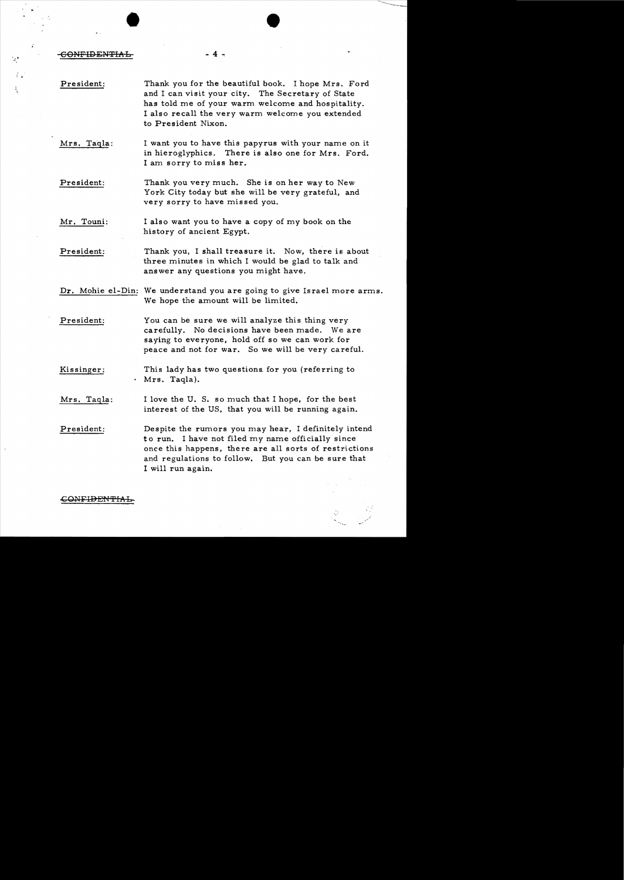<del>.CONFIDENTIA l</del>

President: Thank you for the beautiful book. I hope Mrs. Ford and I can visit your city. The Secretary of State has told me of your warm welcome and hospitality. I also recall the very warm welcome you extended to President Nixon.

 $\bullet$   $\bullet$ 

- 4 ..,

- Mrs. Taqla: I want you to have this papyrus with your name on it in hieroglyphics. There is also one for Mrs. Ford. I am sorry to miss her.
- President: Thank you very much. She is on her way to New York City today but she will be very grateful, and very sorry to have missed you.
- Mr. Touni: I also want you to have a copy of my book on the history of ancient Egypt.
- President: Thank you, I shall treasure it. Now, there is about three minutes in which I would be glad to talk and answer any questions you might have.
- Dr. Mohie el-Din: We understand you are going to give Israel more arms. We hope the amount will be limited.
- President: You can be sure we will analyze this thing very carefully. No decisions have been made. We are saying to everyone, hold off so we can work for peace and not for war. So we will be very careful.
- Kissinger: . Mrs. Taqla). This lady has two questions. for you (referring to
- Mrs. Tagla: I love the U. S. so much that I hope, for the best interest of the US, that you will be running again.
- President: Despite the rumors you may hear, I definitely intend to run. I have not filed my name officially since once this happens, there are all sorts of restrictions and regulations to follow. But you can be sure that I will run again.